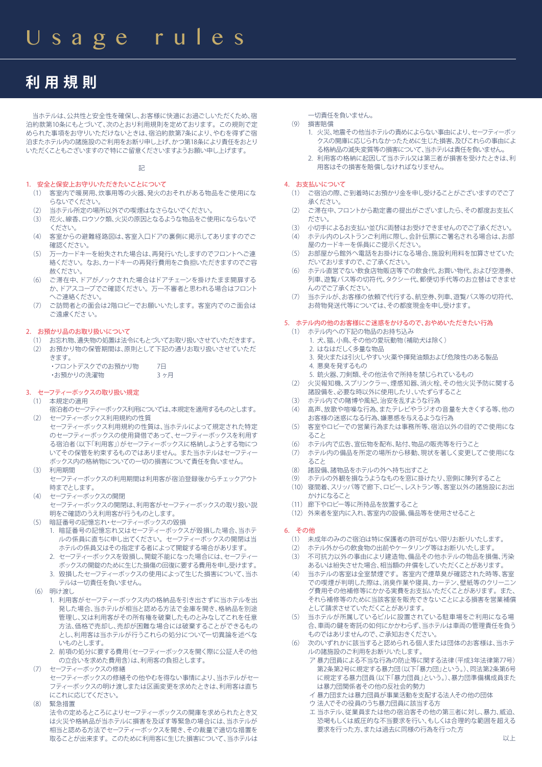# **利用規則**

 当ホテルは、公共性と安全性を確保し、お客様に快適にお過ごしいただくため、宿 泊約款第10条にもとづいて、次のとおり利用規則を定めております。この規則で定 められた事項をお守りいただけないときは、宿泊約款第7条により、やむを得ずご宿 泊またホテル内の諸施設のご利用をお断り申し上げ、かつ第18条により責任をおとり いただくこともございますので特にご留意くださいますようお願い申し上げます。

記

# 1. 安全と保安上お守りいただきたいことについて

- (1) 客室内で暖房用、炊事用等の火器、発火のおそれがある物品をご使用にな らないでください。
- (2) 当ホテル所定の場所以外での喫煙はなさらないでください。
- (3) 花火、線香、ロウソク類、火災の原因となるような物品をご使用にならないで ください。
- (4) 客室からの避難経路図は、客室入口ドアの裏側に掲示してありますのでご 確認ください。
- (5) 万一カードキーを紛失された場合は、再発行いたしますのでフロントへご連 絡ください。なお、カードキーの再発行費用をご負担いただきますのでご容 赦ください。
- (6) ご滞在中、ドアがノックされた場合はドアチェーンを掛けたまま開扉する か、ドアスコープでご確認ください。万一不審者と思われる場合はフロント へご連絡ください。
- (7) ご訪問者との面会は2階ロビーでお願いいたします。客室内でのご面会は ご遠慮くださ い。

### 2. お預かり品のお取り扱いについて

(1) お忘れ物、遺失物の処置は法令にもとづいてお取り扱いさせていただきます。 (2) お預かり物の保管期間は、原則として下記の通りお取り扱いさせていただ

| きます。            |     |
|-----------------|-----|
| ・フロントデスクでのお預かり物 | 7F  |
| ・お預かりの洗濯物       | 3ヶ月 |

# 3. セーフティーボックスの取り扱い規定

- (1) 本規定の適用
- 宿泊者のセーフティーボックス利用については、本規定を適用するものとします。 (2) セーフティーボックス利用規約の性質
- セーフティーボックス利用規約の性質は、当ホテルによって規定された特定 のセーフティーボックスの使用貸借であって、セーフティーボックスを利用す る宿泊者(以下「利用客」)がセーフティーボックスに格納しようとする物につ いてその保管を約束するものではありません。また当ホテルはセーフティー ボックス内の格納物についての一切の損害について責任を負いません。
- (3) 利用期間
	- セーフティーボックスの利用期間は利用客が宿泊登録後からチェックアウト 時までとします。
- (4) セーフティーボックスの開閉 セーフティーボックスの開閉は、利用客がセーフティーボックスの取り扱い説 明をご確認のうえ利用客が行うものとします。
- (5) 暗証番号の記憶忘れ・セーフティーボックスの毀損
	- 1. 暗証番号の記憶忘れ又はセーフティーボックスが毀損した場合、当ホテ ルの係員に直ちに申し出てください。セーフティーボックスの開閉は当 ホテルの係員又はその指定する者によって開錠する場合があります。
	- 2. セーフティーボックスを毀損し、開錠不能になった場合には、セーフティー ボックスの開錠のために生じた損傷の回復に要する費用を申し受けます。
	- 3. 毀損したセーフティーボックスの使用によって生じた損害について、当ホ テルは一切責任を負いません。
- (6) 明け渡し
	- 1. 利用客がセーフティーボックス内の格納品を引き出さずに当ホテルを出 発した場合、当ホテルが相当と認める方法で金庫を開き、格納品を別途 管理し、又は利用客がその所有権を破棄したものとみなしてこれを任意 方法、価格で売却し、売却が困難な場合には破棄することができるもの とし、利用客は当ホテルが行うこれらの処分について一切異論を述べな いものとします。
	- 2. 前項の処分に要する費用(セーフティーボックスを開く際に公証人その他 の立合いを求めた費用含)は、利用客の負担とします。
- セーフティーボックスの修繕
- セーフティーボックスの修繕その他やむを得ない事情により、当ホテルがセー フティーボックスの明け渡しまたは区画変更を求めたときは、利用客は直ち にこれに応じてください。
- (8) 緊急措置

法令の定めるところによりセーフティーボックスの開庫を求められたとき又 は火災や格納品が当ホテルに損害を及ぼす等緊急の場合には、当ホテルが 相当と認める方法でセーフティーボックスを開き、その裁量で適切な措置を 取ることが出来ます。このために利用客に生じた損害について、当ホテルは

- 一切責任を負いません。
- (9) 損害賠償
	- 1. 火災、地震その他当ホテルの責めによらない事由により、セーフティーボッ クスの開庫に応じられなかったために生じた損害、及びこれらの事由によ る格納品の滅失変質等の損害について、当ホテルは責任を負いません。
	- 2. 利用客の格納に起因して当ホテル又は第三者が損害を受けたときは、利 用客はその損害を賠償しなければなりません。

### 4. お支払いについて

- (1) ご宿泊の際、ご到着時にお預かり金を申し受けることがございますのでご了 承ください。
- (2) ご滞在中、フロントから勘定書の提出がございましたら、その都度お支払く ださい。
- (3) 小切手によるお支払い並びに両替はお受けできませんのでご了承ください。
- (4) ホテル内のレストランご利用に際し、会計伝票にご署名される場合は、お部 屋のカードキーを係員にご提示ください。
- (5) お部屋から館外へ電話をお掛けになる場合、施設利用料を加算させていた だいておりますので、ご了承ください。
- (6) ホテル直営でない飲食店物販店等での飲食代、お買い物代、および空港券、 列車、遊覧バス等の切符代、タクシー代、郵便切手代等のお立替はできませ んのでご了承ください。
- (7) 当ホテルが、お客様の依頼で代行する、航空券、列車、遊覧バス等の切符代、 お荷物発送代等については、その都度現金を申し受けます。

# 5. ホテル内の他のお客様にご迷惑をかけるので、おやめいただきたい行為

- (1) ホテル内への下記の物品のお持ち込み
	- 1. 犬、猫、小鳥、その他の愛玩動物(補助犬は除く)
	- 2. はなはだしく多量な物品
	- 3. 発火または引火しやすい火薬や揮発油類および危険性のある製品 4. 悪臭を発するもの
	- 5. 銃火器、刀剣類、その他法令で所持を禁じられているもの
- (2) 火災報知機、スプリンクラー、煙感知器、消火栓、その他火災予防に関する 諸設備を、必要な時以外に使用したり、いたずらすること
- (3) ホテル内での賭博や風紀、治安を乱すような行為
- (4) 高声、放歌や喧噪な行為、またテレビやラジオの音量を大きくする等、他の お客様の迷惑になる行為、嫌悪感を与えるような行為
- (5) 客室やロビーでの営業行為または事務所等、宿泊以外の目的でご使用にな ること
- (6) ホテル内で広告、宣伝物を配布、貼付、物品の販売等を行うこと
- (7) ホテル内の備品を所定の場所から移動、現状を著しく変更してご使用にな ること
- (8) 諸設備、諸物品をホテルの外へ持ち出すこと
- (9) ホテルの外観を損なうようなものを窓に掛けたり、窓側に陳列すること
- (10) 寝間着、スリッパ等で廊下、ロビー、レストラン等、客室以外の諸施設にお出 かけになること
- (11) 廊下やロビー等に所持品を放置すること
- (12) 外来者を室内に入れ、客室内の設備、備品等を使用させること

# 6. その他

- (1) 未成年のみのご宿泊は特に保護者の許可がない限りお断りいたします。
- (2) ホテル外からの飲食物の出前やケータリング等はお断りいたします。
- (3) 不可抗力以外の事由により建造物、備品その他ホテルの物品を損傷、汚染 あるいは紛失させた場合、相当額の弁償をしていただくことがあります。
- (4) 当ホテルの客室は全室禁煙です。客室内で煙草臭が確認された時等、客室 での喫煙が判明した際は、消臭作業や寝具、カーテン、壁紙等のクリー グ費用その他補修等にかかる実費をお支払いただくことがあります。また、 それら補修等のために当該客室を販売できないことによる損害を営業補償 として請求させていただくことがあります。
- (5) 当ホテルが所属しているビルに設置されている駐車場をご利用になる場 合、車両の伴を寄託の如何にかかわらず、当ホテルは車両の管理責任を負う ものではありませんので、ご承知おきください。
- (6) 次のいずれかに該当すると認められる個人または団体のお客様は、当ホテ ルの諸施設のご利用をお断りいたします。
	- ア 暴力団員による不当な行為の防止等に関する法律(平成3年法律第77号) 第2条第2号に規定する暴力団(以下「暴力団」という。)、同法第2条第6号 に規定する暴力団員(以下「暴力団員」という。)、暴力団準備構成員また は暴力団関係者その他の反社会的勢力
	- イ 暴力団または暴力団員が事業活動を支配する法人その他の団体
	- ウ 法人でその役員のうち暴力団員に該当する方
	- エ 当ホテル、従業員または他の宿泊客その他の第三者に対し、暴力、威迫、 恐喝もしくは威圧的な不当要求を行い、もしくは合理的な範囲を超える 要求を行った方、または過去に同様の行為を行った方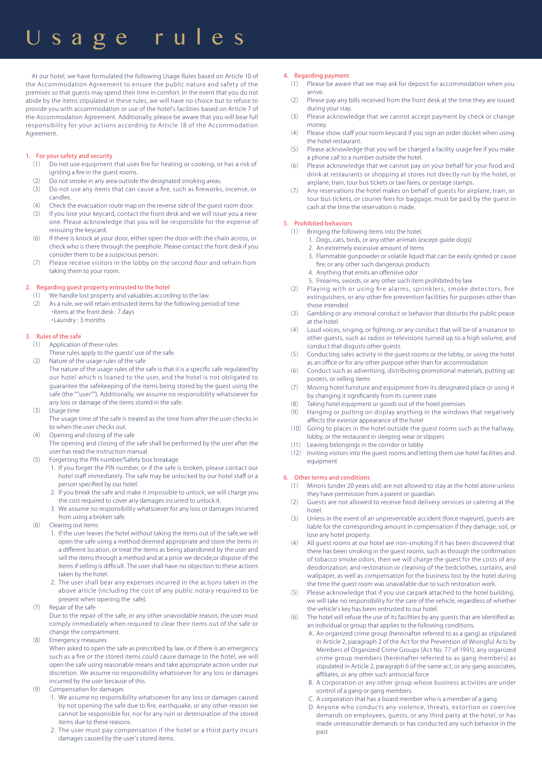# Usage rules

 At our hotel, we have formulated the following Usage Rules based on Article 10 of the Accommodation Agreement to ensure the public nature and safety of the premises so that guests may spend their time in comfort. In the event that you do not abide by the items stipulated in these rules, we will have no choice but to refuse to provide you with accommodation or use of the hotel's facilities based on Article 7 of the Accommodation Agreement. Additionally, please be aware that you will bear full responsibility for your actions according to Article 18 of the Accommodation Agreement.

### 1. For your safety and security

- (1) Do not use equipment that uses fire for heating or cooking, or has a risk of igniting a fire in the guest rooms.
- (2) Do not smoke in any area outside the designated smoking areas.
- (3) Do not use any items that can cause a fire, such as fireworks, incense, or candles.
- (4) Check the evacuation route map on the reverse side of the guest room door.
- (5) If you lose your keycard, contact the front desk and we will issue you a new one. Please acknowledge that you will be responsible for the expense of reissuing the keycard.
- (6) If there is knock at your door, either open the door with the chain across, or check who is there through the peephole. Please contact the front desk if you consider them to be a suspicious person.
- (7) Please receive visitors in the lobby on the second floor and refrain from taking them to your room.

### 2. Regarding quest property entrusted to the hotel

- We handle lost property and valuables according to the law.
- (2) As a rule, we will retain entrusted items for the following period of time. ・Items at the front desk : 7 days ・Laundry : 3 months

### 3. Rules of the safe

- (1) Application of these rules
	- These rules apply to the guests' use of the safe.
- (2) Nature of the usage rules of the safe
	- The nature of the usage rules of the safe is that it is a specific safe regulated by our hotel which is loaned to the user, and the hotel is not obligated to guarantee the safekeeping of the items being stored by the guest using the safe (the ""user""). Additionally, we assume no responsibility whatsoever for any loss or damage of the items stored in the safe.
- (3) Usage time
	- The usage time of the safe is treated as the time from after the user checks in to when the user checks out.
- (4) Opening and closing of the safe
	- The opening and closing of the safe shall be performed by the user after the user has read the instruction manual.
- (5) Forgetting the PIN number/Safety box breakage
	- 1. If you forget the PIN number, or if the safe is broken, please contact our hotel staff immediately. The safe may be unlocked by our hotel staff or a person specified by our hotel.
	- 2. If you break the safe and make it impossible to unlock, we will charge you the cost required to cover any damages incurred to unlock it.
	- 3. We assume no responsibility whatsoever for any loss or damages incurred from using a broken safe.
- (6) Clearing out items
	- 1. If the user leaves the hotel without taking the items out of the safe,we will open the safe using a method deemed appropriate and store the items in a different location, or treat the items as being abandoned by the user and sell the items through a method and at a price we decide,or dispose of the items if selling is difficult. The user shall have no objection to these actions taken by the hotel.
	- 2. The user shall bear any expenses incurred in the actions taken in the above article (including the cost of any public notary required to be present when opening the safe).
- (7) Repair of the safe

Due to the repair of the safe, or any other unavoidable reason, the user must comply immediately when required to clear their items out of the safe or change the compartment.

(8) Emergency measures

When asked to open the safe as prescribed by law, or if there is an emergency such as a fire or the stored items could cause damage to the hotel, we will open the safe using reasonable means and take appropriate action under our discretion. We assume no responsibility whatsoever for any loss or damages incurred by the user because of this.

- (9) Compensation for damages
	- 1. We assume no responsibility whatsoever for any loss or damages caused by not opening the safe due to fire, earthquake, or any other reason we cannot be responsible for, nor for any ruin or deterioration of the stored items due to these reasons.
	- 2. The user must pay compensation if the hotel or a third party incurs damages caused by the user's stored items.
- 4. Regarding payment
	- (1) Please be aware that we may ask for deposit for accommodation when you arrive.
	- (2) Please pay any bills received from the front desk at the time they are issued during your stay.
	- (3) Please acknowledge that we cannot accept payment by check or change money.
	- (4) Please show staff your room keycard if you sign an order docket when using the hotel restaurant.
	- (5) Please acknowledge that you will be charged a facility usage fee if you make a phone call to a number outside the hotel.
	- (6) Please acknowledge that we cannot pay on your behalf for your food and drink at restaurants or shopping at stores not directly run by the hotel, or airplane, train, tour bus tickets or taxi fares, or postage stamps.
	- (7) Any reservations the hotel makes on behalf of guests for airplane, train, or tour bus tickets, or courier fees for baggage, must be paid by the guest in cash at the time the reservation is made.

### 5. Prohibited behaviors

- (1) Bringing the following items into the hotel.
	- 1. Dogs, cats, birds, or any other animals (except guide dogs)
	- 2. An extremely excessive amount of items
		- 3. Flammable gunpowder or volatile liquid that can be easily ignited or cause fire, or any other such dangerous products
		- 4. Anything that emits an offensive odor
	- 5. Firearms, swords, or any other such item prohibited by law
- (2) Playing with or using fire alarms, sprinklers, smoke detectors, fire extinguishers, or any other fire prevention facilities for purposes other than those intended
- (3) Gambling or any immoral conduct or behavior that disturbs the public peace at the hotel
- (4) Loud voices, singing, or fighting, or any conduct that will be of a nuisance to other guests, such as radios or televisions turned up to a high volume, and conduct that disgusts other guests
- (5) Conducting sales activity in the guest rooms or the lobby, or using the hotel as an office or for any other purpose other than for accommodation
- (6) Conduct such as advertising, distributing promotional materials, putting up posters, or selling items
- (7) Moving hotel furniture and equipment from its designated place or using it by changing it significantly from its current state
- (8) Taking hotel equipment or goods out of the hotel premises
- (9) Hanging or putting on display anything in the windows that negatively affects the exterior appearance of the hotel
- (10) Going to places in the hotel outside the guest rooms such as the hallway, lobby, or the restaurant in sleeping wear or slippers
- (11) Leaving belongings in the corridor or lobby
- (12) Inviting visitors into the guest rooms and letting them use hotel facilities and equipment

### 6. Other terms and conditions

- (1) Minors (under 20 years old) are not allowed to stay at the hotel alone unless they have permission from a parent or guardian.
- (2) Guests are not allowed to receive food delivery services or catering at the hotel.
- (3) Unless in the event of an unpreventable accident (force majeure), guests are liable for the corresponding amount in compensation if they damage, soil, or lose any hotel property.
- (4) All guest rooms at our hotel are non-smoking.If it has been discovered that there has been smoking in the guest rooms, such as through the confirmation of tobacco smoke odors, then we will charge the guest for the costs of any deodorization, and restoration or cleaning of the bedclothes, curtains, and wallpaper, as well as compensation for the business lost by the hotel during the time the guest room was unavailable due to such restoration work.
- (5) Please acknowledge that if you use carpark attached to the hotel building, we will take no responsibility for the care of the vehicle, regardless of whether the vehicle's key has been entrusted to our hotel.
- (6) The hotel will refuse the use of its facilities by any guests that are identified as an individual or group that applies to the following conditions.
	- A. An organized crime group (hereinafter referred to as a gang) as stipulated in Article 2, paragraph 2 of the Act for the Prevention of Wrongful Acts by Members of Organized Crime Groups (Act No. 77 of 1991), any organized crime group members (hereinafter referred to as gang members) as stipulated in Article 2, paragraph 6 of the same act, or any gang associates, affiliates, or any other such antisocial force
	- B. A corporation or any other group whose business activities are under control of a gang or gang members
	- C. A corporation that has a board member who is a member of a gang
	- D. Anyone who conducts any violence, threats, extortion or coercive demands on employees, guests, or any third party at the hotel, or has made unreasonable demands or has conducted any such behavior in the past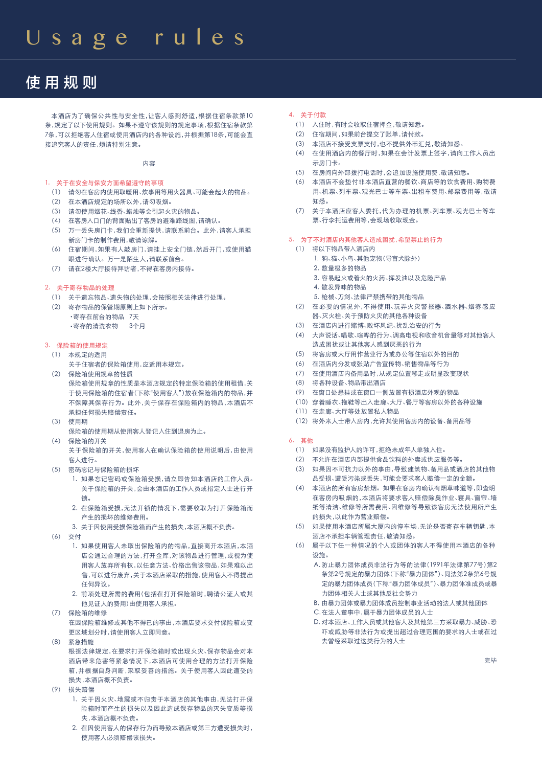# 使用规则

 本酒店为了确保公共性与安全性,让客人感到舒适,根据住宿条款第10 条,规定了以下使用规则。如果不遵守该规则的规定事项,根据住宿条款第 7条,可以拒绝客人住宿或使用酒店内的各种设施,并根据第18条,可能会直 接追究客人的责任,烦请特别注意。

内容

1. 关于在安全与保安方面希望遵守的事项

- (1) 请勿在客房内使用取暖用、炊事用等用火器具、可能会起火的物品。
- (2) 在本酒店规定的场所以外,请勿吸烟。
- (3) 请勿使用烟花、线香、蜡烛等会引起火灾的物品。
- (4) 在客房入口门的背面贴出了客房的避难路线图,请确认。
- (5) 万一丢失房门卡,我们会重新提供,请联系前台。此外,请客人承担 新房门卡的制作费用,敬请谅解。
- (6) 住宿期间,如果有人敲房门,请挂上安全门链,然后开门,或使用猫 眼进行确认。万一是陌生人,请联系前台。
- (7) 请在2楼大厅接待拜访者,不得在客房内接待。

### 2. 关于寄存物品的处理

- (1) 关于遗忘物品、遗失物的处理,会按照相关法律进行处理。
- (2) 寄存物品的保管期原则上如下所示。 ・寄存在前台的物品 7天 ・寄存的清洗衣物 3个月

# 3. 保险箱的使用规定

- (1) 本规定的适用
	- 关于住宿者的保险箱使用,应适用本规定。
- (2) 保险箱使用规章的性质 保险箱使用规章的性质是本酒店规定的特定保险箱的使用租借,关 于使用保险箱的住宿者(下称"使用客人")放在保险箱内的物品,并 不保障其保存行为。此外,关于保存在保险箱内的物品,本酒店不 承担任何损失赔偿责任。
- (3) 使用期
- 保险箱的使用期从使用客人登记入住到退房为止。
- (4) 保险箱的开关

关于保险箱的开关,使用客人在确认保险箱的使用说明后,由使用 客人进行。

- (5) 密码忘记与保险箱的损坏
	- 1. 如果忘记密码或保险箱受损,请立即告知本酒店的工作人员。 关于保险箱的开关,会由本酒店的工作人员或指定人士进行开 锁。
	- 2. 在保险箱受损,无法开锁的情况下,需要收取为打开保险箱而 产生的损坏的维修费用。
	- 3. 关于因使用受损保险箱而产生的损失,本酒店概不负责。
- (6) 交付
	- 1. 如果使用客人未取出保险箱内的物品,直接离开本酒店,本酒 店会通过合理的方法,打开金库,对该物品进行管理,或视为使 用客人放弃所有权,以任意方法、价格出售该物品,如果难以出 售,可以进行废弃,关于本酒店采取的措施,使用客人不得提出 任何异议。
	- 2. 前项处理所需的费用(包括在打开保险箱时,聘请公证人或其 他见证人的费用)由使用客人承担。
- (7) 保险箱的维修 在因保险箱维修或其他不得已的事由,本酒店要求交付保险箱或变 更区域划分时,请使用客人立即同意。
- (8) 紧急措施
	- 根据法律规定,在要求打开保险箱时或出现火灾、保存物品会对本 酒店带来危害等紧急情况下,本酒店可使用合理的方法打开保险 箱,并根据自身判断,采取妥善的措施。关于使用客人因此遭受的 损失,本酒店概不负责。
- (9) 损失赔偿
	- 1. 关于因火灾、地震或不归责于本酒店的其他事由,无法打开保 险箱时而产生的损失以及因此造成保存物品的灭失变质等损 失,本酒店概不负责。
	- 2. 在因使用客人的保存行为而导致本酒店或第三方遭受损失时, 使用客人必须赔偿该损失。

### 4. 关于付款

- (1) 入住时,有时会收取住宿押金,敬请知悉。
- (2) 住宿期间,如果前台提交了账单,请付款。
- (3) 本酒店不接受支票支付,也不提供外币汇兑,敬请知悉。
- (4) 在使用酒店内的餐厅时,如果在会计发票上签字,请向工作人员出 示房门卡。
- (5) 在房间向外部拨打电话时,会追加设施使用费,敬请知悉。
- (6) 本酒店不会垫付非本酒店直营的餐饮、商店等的饮食费用、购物费 用、机票、列车票、观光巴士等车票、出租车费用、邮票费用等,敬请 知悉。
- (7) 关于本酒店应客人委托,代为办理的机票、列车票、观光巴士等车 票、行李托运费用等,会现场收取现金。

#### 5. 为了不对酒店内其他客人造成困扰,希望禁止的行为

- (1) 将以下物品带入酒店内
	- 1. 狗、猫、小鸟、其他宠物(导盲犬除外)
	- 2. 数量极多的物品
	- 3. 容易起火或着火的火药、挥发油以及危险产品
	- 4. 散发异味的物品
	- 5. 枪械、刀剑、法律严禁携带的其他物品
- (2) 在必要的情况外,不得使用、玩弄火灾警报器、洒水器、烟雾感应 器、灭火栓、关于预防火灾的其他各种设备
- (3) 在酒店内进行赌博、败坏风纪、扰乱治安的行为
- (4) 大声说话、唱歌、喧哗的行为、调高电视和收音机音量等对其他客人 造成困扰或让其他客人感到厌恶的行为
- (5) 将客房或大厅用作营业行为或办公等住宿以外的目的
- (6) 在酒店内分发或张贴广告宣传物、销售物品等行为
- (7) 在使用酒店内备用品时,从规定位置移走或明显改变现状
- (8) 将各种设备、物品带出酒店
- (9) 在窗口处悬挂或在窗口一侧放置有损酒店外观的物品
- (10) 穿着睡衣、拖鞋等出入走廊、大厅、餐厅等客房以外的各种设施
- (11) 在走廊、大厅等处放置私人物品
- (12) 将外来人士带入房内,允许其使用客房内的设备、备用品等
- 6. 其他
	- (1) 如果没有监护人的许可,拒绝未成年人单独入住。
	- (2) 不允许在酒店内部提供食品饮料的外卖或供应服务等。
	- (3) 如果因不可抗力以外的事由,导致建筑物、备用品或酒店的其他物 品受损、遭受污染或丢失,可能会要求客人赔偿一定的金额。
	- (4) 本酒店的所有客房禁烟。如果在客房内确认有烟草味道等,即查明 在客房内吸烟的,本酒店将要求客人赔偿除臭作业、寝具、窗帘、墙 纸等清洁、维修等所需费用、因维修等导致该客房无法使用所产生 的损失,以此作为营业赔偿。
	- (5) 如果使用本酒店所属大厦内的停车场,无论是否寄存车辆钥匙,本 酒店不承担车辆管理责任,敬请知悉。
	- (6) 属于以下任一种情况的个人或团体的客人不得使用本酒店的各种 设施。
		- A. 防止暴力团体成员非法行为等的法律(1991年法律第77号)第2 条第2号规定的暴力团体(下称"暴力团体")、同法第2条第6号规 定的暴力团体成员(下称"暴力团体成员")、暴力团体准成员或暴 力团体相关人士或其他反社会势力
		- B. 由暴力团体或暴力团体成员控制事业活动的法人或其他团体
		- C. 在法人董事中,属于暴力团体成员的人士
		- D. 对本酒店、工作人员或其他客人及其他第三方采取暴力、威胁、恐 吓或威胁等非法行为或提出超过合理范围的要求的人士或在过 去曾经采取过这类行为的人士